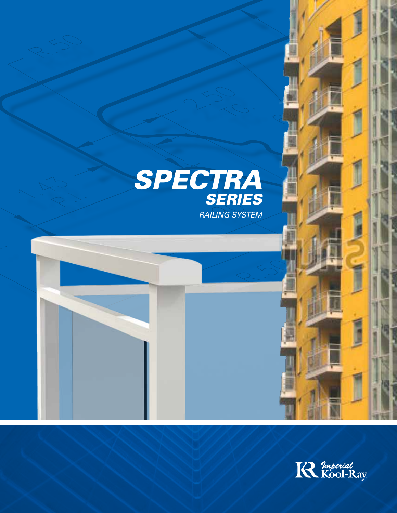

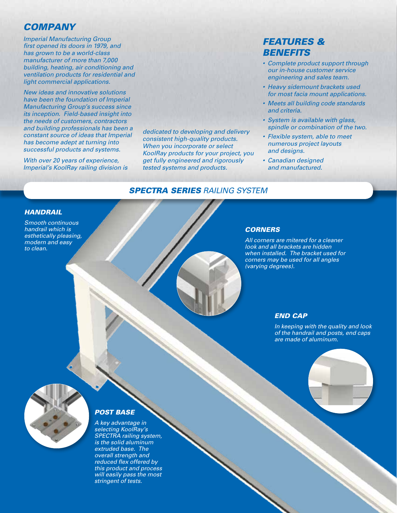## *Company*

*Imperial Manufacturing Group first opened its doors in 1979, and has grown to be a world-class manufacturer of more than 7,000 building, heating, air conditioning and ventilation products for residential and light commercial applications.* 

*New ideas and innovative solutions have been the foundation of Imperial Manufacturing Group's success since its inception. Field-based insight into the needs of customers, contractors and building professionals has been a constant source of ideas that Imperial has become adept at turning into successful products and systems.*

*With over 20 years of experience, Imperial's KoolRay railing division is*  *dedicated to developing and delivery consistent high-quality products. When you incorporate or select KoolRay products for your project, you get fully engineered and rigorously tested systems and products.*

## *Features & Benefits*

- Complete product support through *our in-house customer service engineering and sales team.*
- Heavy sidemount brackets used *for most facia mount applications.*
- • Meets all building code standards *and criteria.*
- • System is available with glass, *spindle or combination of the two.*
- Flexible system, able to meet *numerous project layouts and designs.*
- • Canadian designed *and manufactured.*

## *Spectra Series railing system*

#### *Handrail*

*Smooth continuous handrail which is esthetically pleasing, modern and easy to clean.*

#### *Corners*

*All corners are mitered for a cleaner*  look and all brackets are hidden when installed. The bracket used for *corners may be used for all angles (varying degrees).*

#### *End Cap*

In keeping with the quality and look *of the handrail and posts, end caps are made of aluminum.*





## *Post Base*

A key advantage in *selecting KoolRay's*  SPECTRA railing system, *is the solid aluminum extruded base. The overall strength and reduced flex offered by this product and process will easily pass the most stringent of tests.*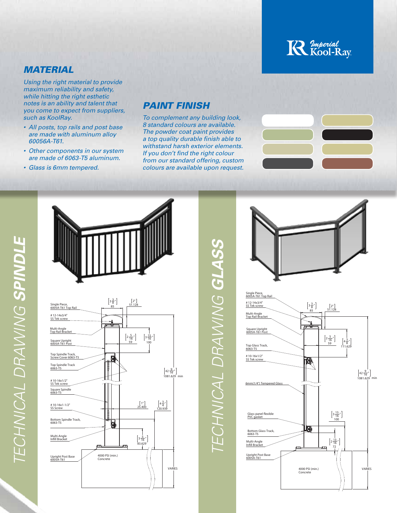# **R** *Imperial*<br>Kool-Ray

## *Material*

*Using the right material to provide maximum reliability and safety, while hitting the right esthetic notes is an ability and talent that you come to expect from suppliers, such as KoolRay.*

- All posts, top rails and post base *are made with aluminum alloy 60056A-T61.*
- Other components in our system *are made of 6063-T5 aluminum.*
- • Glass is 6mm tempered.

# *Paint Finish*

To complement any building look, *8 standard colours are available. The powder coat paint provides a top quality durable finish able to withstand harsh exterior elements. If you don't find the right colour from our standard offering, custom colours are available upon request.*







TECHNICAL DRAWING GLASS *Technical drawing glass*